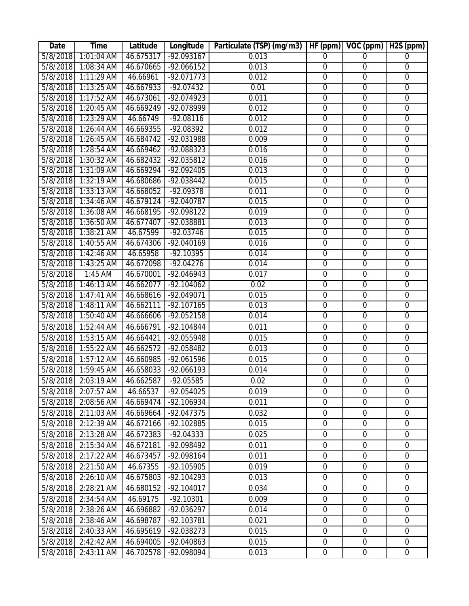| Date     | <b>Time</b>                   | Latitude  | Longitude    | Particulate (TSP) (mg/m3) | HF(ppm)          | VOC (ppm)        | $\overline{H2S}$ (ppm) |
|----------|-------------------------------|-----------|--------------|---------------------------|------------------|------------------|------------------------|
| 5/8/2018 | 1:01:04 AM                    | 46.675317 | $-92.093167$ | 0.013                     | 0                | $\Omega$         | $\overline{0}$         |
| 5/8/2018 | $1:08:34$ AM                  | 46.670665 | $-92.066152$ | 0.013                     | $\overline{0}$   | $\overline{0}$   | $\overline{0}$         |
| 5/8/2018 | $1:11:29$ AM                  | 46.66961  | $-92.071773$ | 0.012                     | $\boldsymbol{0}$ | $\boldsymbol{0}$ | $\boldsymbol{0}$       |
| 5/8/2018 | $1:13:25$ AM                  | 46.667933 | $-92.07432$  | 0.01                      | $\overline{0}$   | $\overline{0}$   | $\overline{0}$         |
| 5/8/2018 | $1:17:52$ AM                  | 46.673061 | $-92.074923$ | 0.011                     | $\overline{0}$   | $\overline{0}$   | $\overline{0}$         |
| 5/8/2018 | $1:20:45$ AM                  | 46.669249 | -92.078999   | 0.012                     | $\overline{0}$   | $\overline{0}$   | $\overline{0}$         |
| 5/8/2018 | $1:23:29$ AM                  | 46.66749  | $-92.08116$  | 0.012                     | $\overline{0}$   | $\overline{0}$   | $\overline{0}$         |
| 5/8/2018 | $1:26:44$ AM                  | 46.669355 | $-92.08392$  | 0.012                     | $\overline{0}$   | $\overline{0}$   | $\overline{0}$         |
| 5/8/2018 | $1:26:45$ AM                  | 46.684742 | $-92.031988$ | 0.009                     | $\overline{0}$   | $\overline{0}$   | $\overline{0}$         |
| 5/8/2018 | $1:28:54$ AM                  | 46.669462 | $-92.088323$ | 0.016                     | 0                | $\overline{0}$   | $\overline{0}$         |
| 5/8/2018 | $1:30:32$ AM                  | 46.682432 | $-92.035812$ | 0.016                     | $\overline{0}$   | $\overline{0}$   | $\overline{0}$         |
| 5/8/2018 | $1:31:09$ AM                  | 46.669294 | $-92.092405$ | 0.013                     | $\overline{0}$   | $\overline{0}$   | $\overline{0}$         |
| 5/8/2018 | $1:32:19$ AM                  | 46.680686 | $-92.038442$ | 0.015                     | $\overline{0}$   | $\overline{0}$   | $\overline{0}$         |
| 5/8/2018 | $1:33:13$ AM                  | 46.668052 | $-92.09378$  | 0.011                     | $\overline{0}$   | $\overline{0}$   | $\overline{0}$         |
| 5/8/2018 | 1:34:46 AM                    | 46.679124 | -92.040787   | 0.015                     | $\mathbf 0$      | $\overline{0}$   | $\overline{0}$         |
| 5/8/2018 | 1:36:08 AM                    | 46.668195 | $-92.098122$ | 0.019                     | $\overline{0}$   | $\overline{0}$   | $\overline{0}$         |
| 5/8/2018 | $1:36:50$ AM                  | 46.677407 | $-92.038881$ | 0.013                     | $\overline{0}$   | $\overline{0}$   | $\overline{0}$         |
| 5/8/2018 | $1:38:21$ AM                  | 46.67599  | $-92.03746$  | 0.015                     | $\overline{0}$   | $\overline{0}$   | $\overline{0}$         |
| 5/8/2018 | $1:40:55$ AM                  | 46.674306 | $-92.040169$ | 0.016                     | $\overline{0}$   | $\overline{0}$   | $\overline{0}$         |
| 5/8/2018 | 1:42:46 AM                    | 46.65958  | $-92.10395$  | 0.014                     | $\mathbf 0$      | $\mathbf 0$      | $\boldsymbol{0}$       |
| 5/8/2018 | $1:43:25$ AM                  | 46.672098 | $-92.04276$  | 0.014                     | $\overline{0}$   | $\overline{0}$   | $\overline{0}$         |
| 5/8/2018 | $1:45$ AM                     | 46.670001 | $-92.046943$ | 0.017                     | $\overline{0}$   | $\overline{0}$   | $\overline{0}$         |
| 5/8/2018 | $1:46:13$ AM                  | 46.662077 | $-92.104062$ | 0.02                      | $\overline{0}$   | $\overline{0}$   | $\overline{0}$         |
| 5/8/2018 | 1:47:41 AM                    | 46.668616 | $-92.049071$ | 0.015                     | $\overline{0}$   | $\boldsymbol{0}$ | $\boldsymbol{0}$       |
| 5/8/2018 | $1:48:11$ AM                  | 46.662111 | $-92.107165$ | 0.013                     | $\overline{0}$   | $\overline{0}$   | $\overline{0}$         |
| 5/8/2018 | 1:50:40 AM                    | 46.666606 | $-92.052158$ | 0.014                     | $\boldsymbol{0}$ | $\boldsymbol{0}$ | $\boldsymbol{0}$       |
| 5/8/2018 | 1:52:44 AM                    | 46.666791 | -92.104844   | 0.011                     | $\mathbf 0$      | $\mathbf 0$      | $\mathbf 0$            |
| 5/8/2018 | 1:53:15 AM                    | 46.664421 | -92.055948   | 0.015                     | $\overline{0}$   | $\mathbf 0$      | $\mathbf 0$            |
| 5/8/2018 | 1:55:22 AM                    | 46.662572 | -92.058482   | 0.013                     | $\overline{0}$   | $\boldsymbol{0}$ | $\mathbf 0$            |
| 5/8/2018 | $1:57:12$ AM                  | 46.660985 | -92.061596   | 0.015                     | $\mathbf 0$      | $\mathbf 0$      | $\boldsymbol{0}$       |
| 5/8/2018 | 1:59:45 AM                    | 46.658033 | -92.066193   | 0.014                     | $\overline{0}$   | $\mathbf 0$      | $\mathbf 0$            |
|          | 5/8/2018 2:03:19 AM 46.662587 |           | -92.05585    | 0.02                      | $\mathbf 0$      | $\overline{0}$   | $\mathbf 0$            |
| 5/8/2018 | 2:07:57 AM                    | 46.66537  | -92.054025   | 0.019                     | $\mathbf 0$      | $\mathbf 0$      | $\mathbf 0$            |
| 5/8/2018 | 2:08:56 AM                    | 46.669474 | -92.106934   | 0.011                     | 0                | $\mathbf 0$      | $\mathbf 0$            |
| 5/8/2018 | 2:11:03 AM                    | 46.669664 | -92.047375   | 0.032                     | $\boldsymbol{0}$ | $\boldsymbol{0}$ | $\boldsymbol{0}$       |
| 5/8/2018 | 2:12:39 AM                    | 46.672166 | -92.102885   | 0.015                     | 0                | $\mathbf 0$      | $\boldsymbol{0}$       |
| 5/8/2018 | 2:13:28 AM                    | 46.672383 | $-92.04333$  | 0.025                     | 0                | $\mathbf 0$      | $\overline{0}$         |
| 5/8/2018 | 2:15:34 AM                    | 46.672181 | -92.098492   | 0.011                     | $\boldsymbol{0}$ | $\mathbf 0$      | $\boldsymbol{0}$       |
| 5/8/2018 | 2:17:22 AM                    | 46.673457 | -92.098164   | 0.011                     | $\mathbf 0$      | $\mathbf 0$      | $\mathbf 0$            |
| 5/8/2018 | 2:21:50 AM                    | 46.67355  | -92.105905   | 0.019                     | $\boldsymbol{0}$ | $\boldsymbol{0}$ | $\boldsymbol{0}$       |
| 5/8/2018 | 2:26:10 AM                    | 46.675803 | $-92.104293$ | 0.013                     | $\boldsymbol{0}$ | $\mathbf 0$      | $\boldsymbol{0}$       |
| 5/8/2018 | 2:28:21 AM                    | 46.680152 | $-92.104017$ | 0.034                     | $\boldsymbol{0}$ | $\mathbf 0$      | $\boldsymbol{0}$       |
| 5/8/2018 | 2:34:54 AM                    | 46.69175  | $-92.10301$  | 0.009                     | 0                | $\mathbf 0$      | $\mathbf 0$            |
| 5/8/2018 | 2:38:26 AM                    | 46.696882 | -92.036297   | 0.014                     | 0                | $\mathbf 0$      | $\boldsymbol{0}$       |
| 5/8/2018 | 2:38:46 AM                    | 46.698787 | -92.103781   | 0.021                     | $\mathbf 0$      | $\boldsymbol{0}$ | $\boldsymbol{0}$       |
| 5/8/2018 | 2:40:33 AM                    | 46.695619 | -92.038273   | 0.015                     | $\mathbf 0$      | $\mathbf 0$      | $\mathbf 0$            |
| 5/8/2018 | 2:42:42 AM                    | 46.694005 | -92.040863   | 0.015                     | $\boldsymbol{0}$ | $\boldsymbol{0}$ | $\boldsymbol{0}$       |
| 5/8/2018 | 2:43:11 AM                    | 46.702578 | -92.098094   | 0.013                     | $\boldsymbol{0}$ | $\boldsymbol{0}$ | $\overline{0}$         |
|          |                               |           |              |                           |                  |                  |                        |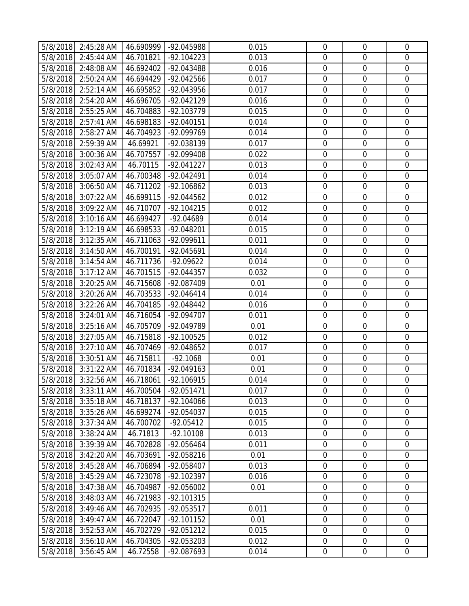|          | 5/8/2018 2:45:28 AM | 46.690999 | -92.045988   | 0.015 | $\mathbf 0$      | $\mathbf 0$      | $\overline{0}$   |
|----------|---------------------|-----------|--------------|-------|------------------|------------------|------------------|
| 5/8/2018 | 2:45:44 AM          | 46.701821 | $-92.104223$ | 0.013 | $\mathbf 0$      | $\mathbf 0$      | $\overline{0}$   |
| 5/8/2018 | 2:48:08 AM          | 46.692402 | -92.043488   | 0.016 | $\boldsymbol{0}$ | $\mathbf 0$      | $\mathbf 0$      |
| 5/8/2018 | 2:50:24 AM          | 46.694429 | -92.042566   | 0.017 | $\mathbf 0$      | $\mathbf 0$      | $\boldsymbol{0}$ |
| 5/8/2018 | 2:52:14 AM          | 46.695852 | -92.043956   | 0.017 | $\mathbf 0$      | $\mathbf 0$      | $\overline{0}$   |
| 5/8/2018 | 2:54:20 AM          | 46.696705 | $-92.042129$ | 0.016 | $\overline{0}$   | $\mathbf 0$      | $\mathbf 0$      |
| 5/8/2018 | 2:55:25 AM          | 46.704883 | -92.103779   | 0.015 | $\mathbf 0$      | $\mathbf 0$      | $\boldsymbol{0}$ |
| 5/8/2018 | 2:57:41 AM          | 46.698183 | -92.040151   | 0.014 | $\boldsymbol{0}$ | $\mathbf 0$      | $\overline{0}$   |
| 5/8/2018 | 2:58:27 AM          | 46.704923 | -92.099769   | 0.014 | $\boldsymbol{0}$ | $\mathbf 0$      | $\mathbf 0$      |
| 5/8/2018 | 2:59:39 AM          | 46.69921  | -92.038139   | 0.017 | $\boldsymbol{0}$ | $\mathbf 0$      | $\boldsymbol{0}$ |
| 5/8/2018 | $3:00:36$ AM        | 46.707557 | -92.099408   | 0.022 | 0                | $\mathbf 0$      | $\mathbf 0$      |
| 5/8/2018 | 3:02:43 AM          | 46.70115  | $-92.041227$ | 0.013 | $\boldsymbol{0}$ | $\mathbf 0$      | $\boldsymbol{0}$ |
| 5/8/2018 | 3:05:07 AM          | 46.700348 | -92.042491   | 0.014 | $\mathbf 0$      | $\mathbf 0$      | $\boldsymbol{0}$ |
| 5/8/2018 | 3:06:50 AM          | 46.711202 | $-92.106862$ | 0.013 | $\mathbf 0$      | $\mathbf 0$      | $\mathbf 0$      |
| 5/8/2018 | 3:07:22 AM          | 46.699115 | -92.044562   | 0.012 | $\boldsymbol{0}$ | $\mathbf 0$      | $\mathbf 0$      |
| 5/8/2018 | 3:09:22 AM          | 46.710707 | $-92.104215$ | 0.012 | $\mathbf 0$      | $\mathbf 0$      | $\overline{0}$   |
| 5/8/2018 | 3:10:16 AM          | 46.699427 | $-92.04689$  | 0.014 | $\mathbf 0$      | $\mathbf 0$      | $\mathbf 0$      |
| 5/8/2018 | 3:12:19 AM          | 46.698533 | -92.048201   | 0.015 | $\mathbf 0$      | $\mathbf 0$      | $\mathbf 0$      |
| 5/8/2018 | 3:12:35 AM          | 46.711063 | -92.099611   | 0.011 | $\mathbf 0$      | $\mathbf 0$      | $\mathbf 0$      |
| 5/8/2018 | 3:14:50 AM          | 46.700191 | -92.045691   | 0.014 | $\mathbf 0$      | $\mathbf 0$      | $\mathbf 0$      |
| 5/8/2018 | 3:14:54 AM          | 46.711736 | $-92.09622$  | 0.014 | $\boldsymbol{0}$ | $\boldsymbol{0}$ | $\mathbf 0$      |
|          |                     |           |              |       | $\mathbf 0$      | $\mathbf 0$      | $\mathbf 0$      |
| 5/8/2018 | 3:17:12 AM          | 46.701515 | $-92.044357$ | 0.032 |                  |                  |                  |
| 5/8/2018 | 3:20:25 AM          | 46.715608 | -92.087409   | 0.01  | $\mathbf 0$      | $\mathbf 0$      | $\mathbf 0$      |
| 5/8/2018 | 3:20:26 AM          | 46.703533 | $-92.046414$ | 0.014 | $\boldsymbol{0}$ | $\mathbf 0$      | $\overline{0}$   |
| 5/8/2018 | 3:22:26 AM          | 46.704185 | -92.048442   | 0.016 | $\mathbf 0$      | $\mathbf 0$      | $\mathbf 0$      |
| 5/8/2018 | 3:24:01 AM          | 46.716054 | -92.094707   | 0.011 | $\boldsymbol{0}$ | $\mathbf 0$      | $\overline{0}$   |
| 5/8/2018 | 3:25:16 AM          | 46.705709 | -92.049789   | 0.01  | $\boldsymbol{0}$ | $\mathbf 0$      | $\overline{0}$   |
| 5/8/2018 | 3:27:05 AM          | 46.715818 | $-92.100525$ | 0.012 | $\mathbf 0$      | $\mathbf 0$      | $\mathbf 0$      |
| 5/8/2018 | 3:27:10 AM          | 46.707469 | -92.048652   | 0.017 | $\mathbf 0$      | $\mathbf 0$      | $\mathbf 0$      |
| 5/8/2018 | 3:30:51 AM          | 46.715811 | $-92.1068$   | 0.01  | $\mathbf 0$      | $\mathbf 0$      | $\mathbf 0$      |
| 5/8/2018 | 3:31:22 AM          | 46.701834 | $-92.049163$ | 0.01  | $\mathbf 0$      | $\mathbf 0$      | $\mathbf 0$      |
|          | 5/8/2018 3:32:56 AM | 46.718061 | $-92.106915$ | 0.014 | $\overline{0}$   | $\overline{0}$   | $\overline{0}$   |
| 5/8/2018 | 3:33:11 AM          | 46.700504 | $-92.051471$ | 0.017 | $\mathbf 0$      | $\overline{0}$   | $\mathbf 0$      |
| 5/8/2018 | 3:35:18 AM          | 46.718137 | -92.104066   | 0.013 | $\mathbf 0$      | $\mathbf 0$      | $\mathbf 0$      |
| 5/8/2018 | 3:35:26 AM          | 46.699274 | -92.054037   | 0.015 | $\boldsymbol{0}$ | $\boldsymbol{0}$ | $\overline{0}$   |
| 5/8/2018 | 3:37:34 AM          | 46.700702 | $-92.05412$  | 0.015 | $\boldsymbol{0}$ | $\mathbf 0$      | $\mathbf 0$      |
| 5/8/2018 | 3:38:24 AM          | 46.71813  | $-92.10108$  | 0.013 | $\mathbf 0$      | $\mathbf 0$      | $\overline{0}$   |
| 5/8/2018 | 3:39:39 AM          | 46.702828 | $-92.056464$ | 0.011 | $\boldsymbol{0}$ | $\boldsymbol{0}$ | $\boldsymbol{0}$ |
| 5/8/2018 | 3:42:20 AM          | 46.703691 | $-92.058216$ | 0.01  | $\boldsymbol{0}$ | $\mathbf 0$      | $\mathbf 0$      |
| 5/8/2018 | 3:45:28 AM          | 46.706894 | -92.058407   | 0.013 | $\mathbf 0$      | $\mathbf 0$      | $\overline{0}$   |
| 5/8/2018 | 3:45:29 AM          | 46.723078 | $-92.102397$ | 0.016 | $\boldsymbol{0}$ | $\boldsymbol{0}$ | $\boldsymbol{0}$ |
| 5/8/2018 | 3:47:38 AM          | 46.704987 | -92.056002   | 0.01  | $\boldsymbol{0}$ | $\mathbf 0$      | $\boldsymbol{0}$ |
| 5/8/2018 | 3:48:03 AM          | 46.721983 | $-92.101315$ |       | $\boldsymbol{0}$ | $\mathbf 0$      | $\mathbf 0$      |
| 5/8/2018 | 3:49:46 AM          | 46.702935 | $-92.053517$ | 0.011 | $\boldsymbol{0}$ | $\mathbf 0$      | $\mathbf 0$      |
| 5/8/2018 | 3:49:47 AM          | 46.722047 | $-92.101152$ | 0.01  | $\boldsymbol{0}$ | $\boldsymbol{0}$ | $\boldsymbol{0}$ |
| 5/8/2018 | 3:52:53 AM          | 46.702729 | $-92.051212$ | 0.015 | $\boldsymbol{0}$ | $\mathbf 0$      | $\overline{0}$   |
| 5/8/2018 | 3:56:10 AM          | 46.704305 | -92.053203   | 0.012 | $\boldsymbol{0}$ | $\boldsymbol{0}$ | $\boldsymbol{0}$ |
| 5/8/2018 | 3:56:45 AM          | 46.72558  | -92.087693   | 0.014 | $\boldsymbol{0}$ | $\boldsymbol{0}$ | $\overline{0}$   |
|          |                     |           |              |       |                  |                  |                  |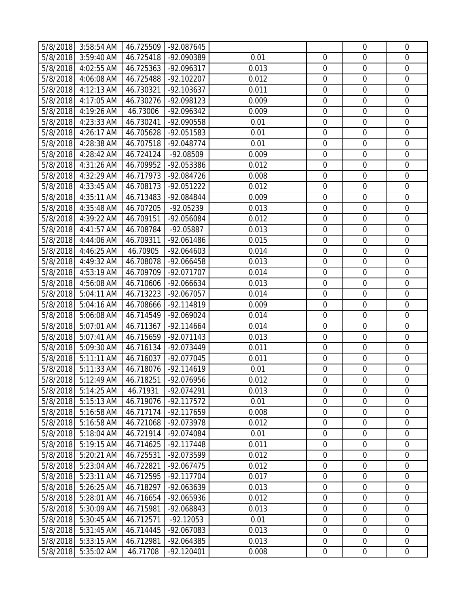|          | 5/8/2018 3:58:54 AM | 46.725509 | -92.087645   |       |                  | $\mathbf 0$      | $\overline{0}$   |
|----------|---------------------|-----------|--------------|-------|------------------|------------------|------------------|
| 5/8/2018 | 3:59:40 AM          | 46.725418 | -92.090389   | 0.01  | $\mathbf 0$      | $\mathbf 0$      | $\overline{0}$   |
| 5/8/2018 | 4:02:55 AM          | 46.725363 | $-92.096317$ | 0.013 | $\mathbf 0$      | $\mathbf 0$      | $\mathbf 0$      |
| 5/8/2018 | 4:06:08 AM          | 46.725488 | $-92.102207$ | 0.012 | $\mathbf 0$      | $\mathbf 0$      | $\boldsymbol{0}$ |
| 5/8/2018 | 4:12:13 AM          | 46.730321 | -92.103637   | 0.011 | $\mathbf 0$      | $\mathbf 0$      | $\mathbf 0$      |
| 5/8/2018 | 4:17:05 AM          | 46.730276 | -92.098123   | 0.009 | $\mathbf 0$      | $\mathbf 0$      | $\mathbf 0$      |
| 5/8/2018 | 4:19:26 AM          | 46.73006  | -92.096342   | 0.009 | $\mathbf 0$      | $\mathbf 0$      | $\overline{0}$   |
| 5/8/2018 | 4:23:33 AM          | 46.730241 | -92.090558   | 0.01  | $\boldsymbol{0}$ | $\mathbf 0$      | $\mathbf 0$      |
| 5/8/2018 | 4:26:17 AM          | 46.705628 | -92.051583   | 0.01  | $\boldsymbol{0}$ | $\mathbf 0$      | $\mathbf 0$      |
| 5/8/2018 | 4:28:38 AM          | 46.707518 | -92.048774   | 0.01  | $\boldsymbol{0}$ | $\mathbf 0$      | $\boldsymbol{0}$ |
| 5/8/2018 | 4:28:42 AM          | 46.724124 | -92.08509    | 0.009 | 0                | $\mathbf 0$      | $\mathbf 0$      |
| 5/8/2018 | 4:31:26 AM          | 46.709952 | -92.053386   | 0.012 | $\boldsymbol{0}$ | $\mathbf 0$      | $\boldsymbol{0}$ |
| 5/8/2018 | 4:32:29 AM          | 46.717973 | -92.084726   | 0.008 | $\mathbf 0$      | $\mathbf 0$      | $\boldsymbol{0}$ |
| 5/8/2018 | 4:33:45 AM          | 46.708173 | $-92.051222$ | 0.012 | $\mathbf 0$      | $\mathbf 0$      | $\mathbf 0$      |
| 5/8/2018 | 4:35:11 AM          | 46.713483 | -92.084844   | 0.009 | $\boldsymbol{0}$ | $\mathbf 0$      | $\mathbf 0$      |
| 5/8/2018 | 4:35:48 AM          | 46.707205 | $-92.05239$  | 0.013 | $\mathbf 0$      | $\mathbf 0$      | $\overline{0}$   |
| 5/8/2018 | 4:39:22 AM          | 46.709151 | -92.056084   | 0.012 | $\mathbf 0$      | $\mathbf 0$      | $\mathbf 0$      |
| 5/8/2018 | 4:41:57 AM          | 46.708784 | -92.05887    | 0.013 | $\mathbf 0$      | $\mathbf 0$      | $\mathbf 0$      |
| 5/8/2018 | 4:44:06 AM          | 46.709311 | -92.061486   | 0.015 | $\mathbf 0$      | $\mathbf 0$      | $\mathbf 0$      |
| 5/8/2018 | 4:46:25 AM          | 46.70905  | $-92.064603$ | 0.014 | $\mathbf 0$      | $\mathbf 0$      | $\mathbf 0$      |
| 5/8/2018 | 4:49:32 AM          | 46.708078 | -92.066458   | 0.013 | $\boldsymbol{0}$ | $\boldsymbol{0}$ | $\mathbf 0$      |
| 5/8/2018 | 4:53:19 AM          | 46.709709 | -92.071707   | 0.014 | $\mathbf 0$      | $\mathbf 0$      | $\mathbf 0$      |
| 5/8/2018 | 4:56:08 AM          | 46.710606 | $-92.066634$ | 0.013 | $\mathbf 0$      | $\mathbf 0$      | $\mathbf 0$      |
| 5/8/2018 | 5:04:11 AM          | 46.713223 | -92.067057   | 0.014 | $\boldsymbol{0}$ | $\mathbf 0$      | $\mathbf 0$      |
| 5/8/2018 | 5:04:16 AM          | 46.708666 | $-92.114819$ | 0.009 | $\mathbf 0$      | $\mathbf 0$      | $\mathbf 0$      |
| 5/8/2018 | 5:06:08 AM          | 46.714549 | -92.069024   | 0.014 | $\boldsymbol{0}$ | $\mathbf 0$      | $\mathbf 0$      |
| 5/8/2018 | 5:07:01 AM          | 46.711367 | $-92.114664$ | 0.014 | $\boldsymbol{0}$ | $\mathbf 0$      | $\overline{0}$   |
| 5/8/2018 | 5:07:41 AM          | 46.715659 | $-92.071143$ | 0.013 | $\mathbf 0$      | $\mathbf 0$      | $\mathbf 0$      |
| 5/8/2018 | 5:09:30 AM          | 46.716134 | -92.073449   | 0.011 | $\mathbf 0$      | $\mathbf 0$      | $\mathbf 0$      |
| 5/8/2018 | 5:11:11 AM          | 46.716037 | -92.077045   | 0.011 | $\mathbf 0$      | $\mathbf 0$      | $\mathbf 0$      |
| 5/8/2018 | 5:11:33 AM          | 46.718076 | $-92.114619$ | 0.01  | $\mathbf 0$      | $\mathbf 0$      | $\mathbf 0$      |
|          | 5/8/2018 5:12:49 AM | 46.718251 | -92.076956   | 0.012 | 0                | $\mathbf 0$      | $\overline{0}$   |
| 5/8/2018 | 5:14:25 AM          | 46.71931  | -92.074291   | 0.013 | $\mathbf 0$      | $\mathbf 0$      | $\mathbf 0$      |
| 5/8/2018 | 5:15:13 AM          | 46.719076 | $-92.117572$ | 0.01  | $\mathbf 0$      | $\mathbf 0$      | $\mathbf 0$      |
| 5/8/2018 | 5:16:58 AM          | 46.717174 | -92.117659   | 0.008 | $\boldsymbol{0}$ | $\boldsymbol{0}$ | $\overline{0}$   |
| 5/8/2018 | 5:16:58 AM          | 46.721068 | -92.073978   | 0.012 | $\mathbf 0$      | $\mathbf 0$      | $\mathbf 0$      |
| 5/8/2018 | 5:18:04 AM          | 46.721914 | -92.074084   | 0.01  | $\mathbf 0$      | $\mathbf 0$      | $\overline{0}$   |
| 5/8/2018 | 5:19:15 AM          | 46.714625 | $-92.117448$ | 0.011 | $\boldsymbol{0}$ | $\boldsymbol{0}$ | $\boldsymbol{0}$ |
| 5/8/2018 | 5:20:21 AM          | 46.725531 | -92.073599   | 0.012 | $\mathbf 0$      | $\mathbf 0$      | $\overline{0}$   |
| 5/8/2018 | 5:23:04 AM          | 46.722821 | -92.067475   | 0.012 | $\mathbf 0$      | $\mathbf 0$      | $\overline{0}$   |
| 5/8/2018 | 5:23:11 AM          | 46.712595 | $-92.117704$ | 0.017 | $\boldsymbol{0}$ | $\boldsymbol{0}$ | $\boldsymbol{0}$ |
| 5/8/2018 | 5:26:25 AM          | 46.718297 | -92.063639   | 0.013 | $\mathbf 0$      | $\mathbf 0$      | $\overline{0}$   |
| 5/8/2018 | 5:28:01 AM          | 46.716654 | -92.065936   | 0.012 | $\boldsymbol{0}$ | $\mathbf 0$      | $\mathbf 0$      |
| 5/8/2018 | 5:30:09 AM          | 46.715981 | -92.068843   | 0.013 | $\boldsymbol{0}$ | $\mathbf 0$      | $\mathbf 0$      |
| 5/8/2018 | 5:30:45 AM          | 46.712571 | $-92.12053$  | 0.01  | $\boldsymbol{0}$ | $\boldsymbol{0}$ | $\overline{0}$   |
| 5/8/2018 | 5:31:45 AM          | 46.714445 | -92.067083   | 0.013 | $\boldsymbol{0}$ | $\mathbf 0$      | $\overline{0}$   |
| 5/8/2018 | 5:33:15 AM          | 46.712981 | -92.064385   | 0.013 | $\boldsymbol{0}$ | $\mathbf 0$      | $\boldsymbol{0}$ |
| 5/8/2018 | 5:35:02 AM          | 46.71708  | $-92.120401$ | 0.008 | $\boldsymbol{0}$ | $\boldsymbol{0}$ | $\overline{0}$   |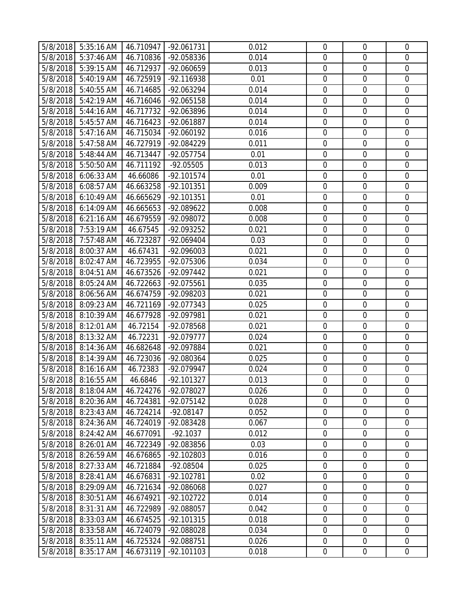|          | 5/8/2018 5:35:16 AM | 46.710947 | -92.061731   | 0.012 | $\mathbf 0$      | $\mathbf 0$      | $\overline{0}$   |
|----------|---------------------|-----------|--------------|-------|------------------|------------------|------------------|
| 5/8/2018 | 5:37:46 AM          | 46.710836 | -92.058336   | 0.014 | $\mathbf 0$      | $\mathbf 0$      | $\overline{0}$   |
| 5/8/2018 | 5:39:15 AM          | 46.712937 | -92.060659   | 0.013 | $\boldsymbol{0}$ | $\mathbf 0$      | $\mathbf 0$      |
| 5/8/2018 | 5:40:19 AM          | 46.725919 | -92.116938   | 0.01  | $\mathbf 0$      | $\mathbf 0$      | $\boldsymbol{0}$ |
| 5/8/2018 | 5:40:55 AM          | 46.714685 | -92.063294   | 0.014 | $\boldsymbol{0}$ | $\mathbf 0$      | $\mathbf 0$      |
| 5/8/2018 | 5:42:19 AM          | 46.716046 | -92.065158   | 0.014 | $\overline{0}$   | $\mathbf 0$      | $\mathbf 0$      |
| 5/8/2018 | 5:44:16 AM          | 46.717732 | -92.063896   | 0.014 | $\mathbf 0$      | $\mathbf 0$      | $\overline{0}$   |
| 5/8/2018 | 5:45:57 AM          | 46.716423 | -92.061887   | 0.014 | $\boldsymbol{0}$ | $\mathbf 0$      | $\mathbf 0$      |
| 5/8/2018 | 5:47:16 AM          | 46.715034 | -92.060192   | 0.016 | $\boldsymbol{0}$ | $\mathbf 0$      | $\mathbf 0$      |
| 5/8/2018 | 5:47:58 AM          | 46.727919 | -92.084229   | 0.011 | $\boldsymbol{0}$ | $\mathbf 0$      | $\boldsymbol{0}$ |
| 5/8/2018 | 5:48:44 AM          | 46.713447 | -92.057754   | 0.01  | 0                | $\mathbf 0$      | $\mathbf 0$      |
| 5/8/2018 | 5:50:50 AM          | 46.711192 | $-92.05505$  | 0.013 | $\boldsymbol{0}$ | $\mathbf 0$      | $\boldsymbol{0}$ |
| 5/8/2018 | 6:06:33 AM          | 46.66086  | $-92.101574$ | 0.01  | $\mathbf 0$      | $\mathbf 0$      | $\boldsymbol{0}$ |
| 5/8/2018 | $6:08:57$ AM        | 46.663258 | -92.101351   | 0.009 | $\mathbf 0$      | $\mathbf 0$      | $\mathbf 0$      |
| 5/8/2018 | 6:10:49 AM          | 46.665629 | -92.101351   | 0.01  | $\boldsymbol{0}$ | $\mathbf 0$      | $\mathbf 0$      |
| 5/8/2018 | 6:14:09 AM          | 46.665653 | -92.089622   | 0.008 | $\mathbf 0$      | $\mathbf 0$      | $\overline{0}$   |
| 5/8/2018 | 6:21:16 AM          | 46.679559 | -92.098072   | 0.008 | $\mathbf 0$      | $\mathbf 0$      | $\mathbf 0$      |
| 5/8/2018 | 7:53:19 AM          | 46.67545  | -92.093252   | 0.021 | $\mathbf 0$      | $\mathbf 0$      | $\mathbf 0$      |
| 5/8/2018 | 7:57:48 AM          | 46.723287 | -92.069404   | 0.03  | $\mathbf 0$      | $\mathbf 0$      | $\mathbf 0$      |
| 5/8/2018 | 8:00:37 AM          | 46.67431  | -92.096003   | 0.021 | $\mathbf 0$      | $\mathbf 0$      | $\mathbf 0$      |
| 5/8/2018 | 8:02:47 AM          | 46.723955 | -92.075306   | 0.034 | $\boldsymbol{0}$ | $\mathbf 0$      | $\mathbf 0$      |
| 5/8/2018 | 8:04:51 AM          | 46.673526 | -92.097442   | 0.021 | $\mathbf 0$      | $\mathbf 0$      | $\mathbf 0$      |
| 5/8/2018 | 8:05:24 AM          | 46.722663 | -92.075561   | 0.035 | $\mathbf 0$      | $\mathbf 0$      | $\mathbf 0$      |
| 5/8/2018 | 8:06:56 AM          | 46.674759 | -92.098203   | 0.021 | $\boldsymbol{0}$ | $\mathbf 0$      | $\mathbf 0$      |
| 5/8/2018 | 8:09:23 AM          | 46.721169 | -92.077343   | 0.025 | $\mathbf 0$      | $\mathbf 0$      | $\mathbf 0$      |
| 5/8/2018 | 8:10:39 AM          | 46.677928 | -92.097981   | 0.021 | $\boldsymbol{0}$ | $\mathbf 0$      | $\mathbf 0$      |
| 5/8/2018 | 8:12:01 AM          | 46.72154  | -92.078568   | 0.021 | $\boldsymbol{0}$ | $\mathbf 0$      | $\overline{0}$   |
| 5/8/2018 | 8:13:32 AM          | 46.72231  | -92.079777   | 0.024 | $\mathbf 0$      | $\mathbf 0$      | $\mathbf 0$      |
| 5/8/2018 | 8:14:36 AM          | 46.682648 | -92.097884   | 0.021 | $\mathbf 0$      | $\mathbf 0$      | $\mathbf 0$      |
| 5/8/2018 | 8:14:39 AM          | 46.723036 | -92.080364   | 0.025 | $\mathbf 0$      | $\mathbf 0$      | $\mathbf 0$      |
| 5/8/2018 | 8:16:16 AM          | 46.72383  | -92.079947   | 0.024 | $\mathbf 0$      | $\mathbf 0$      | $\mathbf 0$      |
|          | 5/8/2018 8:16:55 AM | 46.6846   | $-92.101327$ | 0.013 | 0                | $\mathbf 0$      | $\overline{0}$   |
| 5/8/2018 | 8:18:04 AM          | 46.724276 | -92.078027   | 0.026 | $\mathbf 0$      | $\mathbf 0$      | $\mathbf 0$      |
| 5/8/2018 | 8:20:36 AM          | 46.724381 | $-92.075142$ | 0.028 | $\mathbf 0$      | $\mathbf 0$      | $\mathbf 0$      |
| 5/8/2018 | 8:23:43 AM          | 46.724214 | $-92.08147$  | 0.052 | $\boldsymbol{0}$ | $\boldsymbol{0}$ | $\overline{0}$   |
| 5/8/2018 | 8:24:36 AM          | 46.724019 | -92.083428   | 0.067 | $\mathbf 0$      | $\mathbf 0$      | $\mathbf 0$      |
| 5/8/2018 | 8:24:42 AM          | 46.677091 | $-92.1037$   | 0.012 | $\mathbf 0$      | $\overline{0}$   | $\overline{0}$   |
| 5/8/2018 | 8:26:01 AM          | 46.722349 | -92.083856   | 0.03  | $\boldsymbol{0}$ | $\boldsymbol{0}$ | $\boldsymbol{0}$ |
| 5/8/2018 | 8:26:59 AM          | 46.676865 | $-92.102803$ | 0.016 | $\mathbf 0$      | $\mathbf 0$      | $\overline{0}$   |
| 5/8/2018 | 8:27:33 AM          | 46.721884 | -92.08504    | 0.025 | $\mathbf 0$      | $\mathbf 0$      | $\overline{0}$   |
| 5/8/2018 | 8:28:41 AM          | 46.676831 | -92.102781   | 0.02  | $\boldsymbol{0}$ | $\boldsymbol{0}$ | $\boldsymbol{0}$ |
| 5/8/2018 | 8:29:09 AM          | 46.721634 | -92.086068   | 0.027 | $\mathbf 0$      | $\mathbf 0$      | $\overline{0}$   |
| 5/8/2018 | 8:30:51 AM          | 46.674921 | $-92.102722$ | 0.014 | $\boldsymbol{0}$ | $\mathbf 0$      | $\mathbf 0$      |
| 5/8/2018 | 8:31:31 AM          | 46.722989 | -92.088057   | 0.042 | $\boldsymbol{0}$ | $\mathbf 0$      | $\mathbf 0$      |
| 5/8/2018 | 8:33:03 AM          | 46.674525 | $-92.101315$ | 0.018 | $\boldsymbol{0}$ | $\boldsymbol{0}$ | $\overline{0}$   |
| 5/8/2018 | 8:33:58 AM          | 46.724079 | -92.088028   | 0.034 | $\mathbf 0$      | $\mathbf 0$      | $\overline{0}$   |
| 5/8/2018 | 8:35:11 AM          | 46.725324 | -92.088751   | 0.026 | $\boldsymbol{0}$ | $\mathbf 0$      | $\boldsymbol{0}$ |
| 5/8/2018 | 8:35:17 AM          | 46.673119 | $-92.101103$ | 0.018 | $\boldsymbol{0}$ | $\boldsymbol{0}$ | $\overline{0}$   |
|          |                     |           |              |       |                  |                  |                  |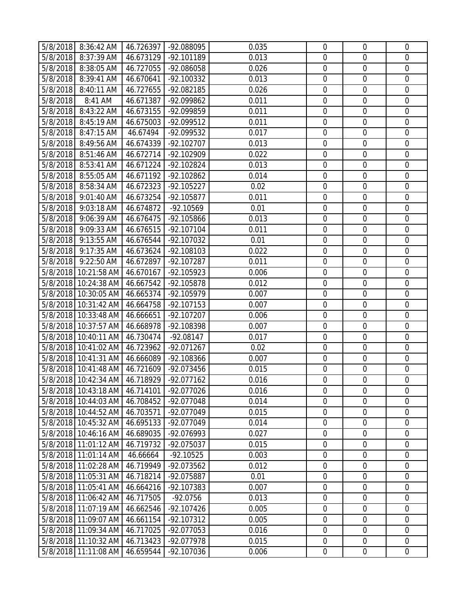|          | 5/8/2018 8:36:42 AM            | 46.726397 | -92.088095   | 0.035 | $\mathbf 0$      | $\mathbf 0$      | $\overline{0}$   |
|----------|--------------------------------|-----------|--------------|-------|------------------|------------------|------------------|
| 5/8/2018 | 8:37:39 AM                     | 46.673129 | -92.101189   | 0.013 | 0                | $\mathbf 0$      | $\overline{0}$   |
| 5/8/2018 | 8:38:05 AM                     | 46.727055 | -92.086058   | 0.026 | $\mathbf 0$      | $\mathbf 0$      | $\mathbf 0$      |
| 5/8/2018 | 8:39:41 AM                     | 46.670641 | $-92.100332$ | 0.013 | $\mathbf 0$      | $\mathbf 0$      | $\boldsymbol{0}$ |
| 5/8/2018 | 8:40:11 AM                     | 46.727655 | -92.082185   | 0.026 | $\mathbf 0$      | $\mathbf 0$      | $\overline{0}$   |
| 5/8/2018 | 8:41 AM                        | 46.671387 | -92.099862   | 0.011 | $\overline{0}$   | $\mathbf 0$      | $\mathbf 0$      |
| 5/8/2018 | 8:43:22 AM                     | 46.673155 | -92.099859   | 0.011 | $\mathbf 0$      | $\mathbf 0$      | $\overline{0}$   |
| 5/8/2018 | 8:45:19 AM                     | 46.675003 | -92.099512   | 0.011 | $\boldsymbol{0}$ | $\mathbf 0$      | $\overline{0}$   |
| 5/8/2018 | 8:47:15 AM                     | 46.67494  | -92.099532   | 0.017 | $\mathbf 0$      | $\mathbf 0$      | $\mathbf 0$      |
| 5/8/2018 | 8:49:56 AM                     | 46.674339 | $-92.102707$ | 0.013 | $\boldsymbol{0}$ | $\mathbf 0$      | $\boldsymbol{0}$ |
| 5/8/2018 | 8:51:46 AM                     | 46.672714 | -92.102909   | 0.022 | 0                | $\mathbf 0$      | $\mathbf 0$      |
| 5/8/2018 | 8:53:41 AM                     | 46.671224 | $-92.102824$ | 0.013 | $\boldsymbol{0}$ | $\mathbf 0$      | $\boldsymbol{0}$ |
| 5/8/2018 | 8:55:05 AM                     | 46.671192 | -92.102862   | 0.014 | $\mathbf 0$      | $\mathbf 0$      | $\boldsymbol{0}$ |
| 5/8/2018 | 8:58:34 AM                     | 46.672323 | $-92.105227$ | 0.02  | $\mathbf 0$      | $\mathbf 0$      | $\mathbf 0$      |
| 5/8/2018 | 9:01:40 AM                     | 46.673254 | -92.105877   | 0.011 | $\mathbf 0$      | $\mathbf 0$      | $\mathbf 0$      |
| 5/8/2018 | 9:03:18 AM                     | 46.674872 | $-92.10569$  | 0.01  | $\mathbf 0$      | $\mathbf 0$      | $\overline{0}$   |
| 5/8/2018 | 9:06:39 AM                     | 46.676475 | -92.105866   | 0.013 | $\mathbf 0$      | $\mathbf 0$      | $\mathbf 0$      |
| 5/8/2018 | 9:09:33 AM                     | 46.676515 | $-92.107104$ | 0.011 | $\mathbf 0$      | $\mathbf 0$      | $\mathbf 0$      |
| 5/8/2018 | 9:13:55 AM                     | 46.676544 | -92.107032   | 0.01  | $\mathbf 0$      | $\mathbf 0$      | $\mathbf 0$      |
| 5/8/2018 | 9:17:35 AM                     | 46.673624 | $-92.108103$ | 0.022 | $\mathbf 0$      | $\mathbf 0$      | $\mathbf 0$      |
| 5/8/2018 | 9:22:50 AM                     | 46.672897 | -92.107287   | 0.011 | $\boldsymbol{0}$ | $\mathbf 0$      | $\mathbf 0$      |
|          | 5/8/2018 10:21:58 AM           | 46.670167 | $-92.105923$ | 0.006 | $\mathbf 0$      | $\mathbf 0$      | $\mathbf 0$      |
|          |                                |           |              |       |                  |                  |                  |
|          | 5/8/2018 10:24:38 AM           | 46.667542 | -92.105878   | 0.012 | $\mathbf 0$      | $\mathbf 0$      | $\mathbf 0$      |
|          | 5/8/2018 10:30:05 AM           | 46.665374 | $-92.105979$ | 0.007 | $\mathbf 0$      | $\mathbf 0$      | $\overline{0}$   |
|          | 5/8/2018 10:31:42 AM           | 46.664758 | $-92.107153$ | 0.007 | $\mathbf 0$      | $\mathbf 0$      | $\mathbf 0$      |
|          | 5/8/2018 10:33:48 AM           | 46.666651 | $-92.107207$ | 0.006 | $\boldsymbol{0}$ | $\mathbf 0$      | $\overline{0}$   |
|          | 5/8/2018 10:37:57 AM           | 46.668978 | -92.108398   | 0.007 | $\boldsymbol{0}$ | $\mathbf 0$      | $\overline{0}$   |
|          | 5/8/2018 10:40:11 AM           | 46.730474 | $-92.08147$  | 0.017 | $\mathbf 0$      | $\mathbf 0$      | $\mathbf 0$      |
|          | 5/8/2018 10:41:02 AM           | 46.723962 | $-92.071267$ | 0.02  | $\mathbf 0$      | $\mathbf 0$      | $\mathbf 0$      |
|          | 5/8/2018 10:41:31 AM           | 46.666089 | -92.108366   | 0.007 | $\mathbf 0$      | $\mathbf 0$      | $\overline{0}$   |
|          | 5/8/2018 10:41:48 AM           | 46.721609 | -92.073456   | 0.015 | $\mathbf 0$      | $\mathbf 0$      | $\mathbf 0$      |
|          | 5/8/2018 10:42:34 AM 46.718929 |           | $-92.077162$ | 0.016 | $\mathbf 0$      | $\overline{0}$   | $\overline{0}$   |
|          | 5/8/2018 10:43:18 AM           | 46.714101 | -92.077026   | 0.016 | $\mathbf 0$      | $\overline{0}$   | $\mathbf 0$      |
|          | 5/8/2018 10:44:03 AM           | 46.708452 | -92.077048   | 0.014 | $\mathbf 0$      | $\mathbf 0$      | $\mathbf 0$      |
|          | 5/8/2018 10:44:52 AM           | 46.703571 | -92.077049   | 0.015 | $\boldsymbol{0}$ | $\boldsymbol{0}$ | $\overline{0}$   |
|          | 5/8/2018 10:45:32 AM           | 46.695133 | -92.077049   | 0.014 | $\boldsymbol{0}$ | $\mathbf 0$      | $\mathbf 0$      |
|          | 5/8/2018 10:46:16 AM           | 46.689035 | -92.076993   | 0.027 | $\mathbf 0$      | $\overline{0}$   | $\overline{0}$   |
|          | 5/8/2018 11:01:12 AM           | 46.719732 | -92.075037   | 0.015 | $\boldsymbol{0}$ | $\boldsymbol{0}$ | $\boldsymbol{0}$ |
|          | 5/8/2018 11:01:14 AM           | 46.66664  | $-92.10525$  | 0.003 | $\boldsymbol{0}$ | $\mathbf 0$      | $\mathbf 0$      |
|          | 5/8/2018 11:02:28 AM           | 46.719949 | -92.073562   | 0.012 | $\mathbf 0$      | $\overline{0}$   | $\overline{0}$   |
| 5/8/2018 | 11:05:31 AM                    | 46.718214 | -92.075887   | 0.01  | $\boldsymbol{0}$ | $\boldsymbol{0}$ | $\boldsymbol{0}$ |
|          | 5/8/2018 11:05:41 AM           | 46.664216 | -92.107383   | 0.007 | $\boldsymbol{0}$ | $\mathbf 0$      | $\mathbf 0$      |
|          | 5/8/2018 11:06:42 AM           | 46.717505 | $-92.0756$   | 0.013 | $\boldsymbol{0}$ | $\mathbf 0$      | $\mathbf 0$      |
|          | 5/8/2018 11:07:19 AM           | 46.662546 | $-92.107426$ | 0.005 | $\boldsymbol{0}$ | $\mathbf 0$      | $\mathbf 0$      |
|          | 5/8/2018 11:09:07 AM           | 46.661154 | $-92.107312$ | 0.005 | $\boldsymbol{0}$ | $\mathbf 0$      | $\mathbf 0$      |
|          | 5/8/2018 11:09:34 AM           | 46.717025 | -92.077053   | 0.016 | $\mathbf 0$      | $\mathbf 0$      | $\overline{0}$   |
| 5/8/2018 | 11:10:32 AM                    | 46.713423 | -92.077978   | 0.015 | $\boldsymbol{0}$ | $\mathbf 0$      | $\overline{0}$   |
|          | 5/8/2018 11:11:08 AM           | 46.659544 | -92.107036   | 0.006 | $\mathbf 0$      | $\boldsymbol{0}$ | $\overline{0}$   |
|          |                                |           |              |       |                  |                  |                  |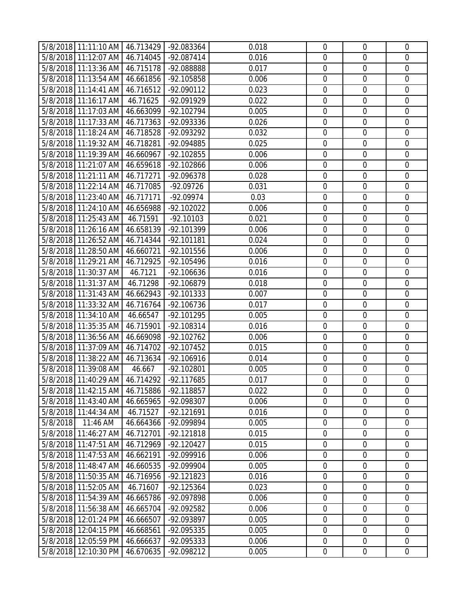| 5/8/2018 11:11:10 AM 46.713429 -92.083364 |             |           |              | 0.018 | $\mathbf 0$      | $\overline{0}$   | $\mathbf 0$      |
|-------------------------------------------|-------------|-----------|--------------|-------|------------------|------------------|------------------|
| 5/8/2018 11:12:07 AM 46.714045            |             |           | -92.087414   | 0.016 | $\mathbf 0$      | $\mathbf 0$      | $\mathbf 0$      |
| 5/8/2018 11:13:36 AM 46.715178            |             |           | -92.088888   | 0.017 | $\mathbf 0$      | $\mathbf 0$      | $\mathbf 0$      |
| 5/8/2018 11:13:54 AM                      |             | 46.661856 | -92.105858   | 0.006 | $\mathbf 0$      | $\mathbf 0$      | $\mathbf 0$      |
| 5/8/2018 11:14:41 AM                      |             | 46.716512 | $-92.090112$ | 0.023 | $\mathbf 0$      | $\mathbf 0$      | $\mathbf 0$      |
| 5/8/2018 11:16:17 AM                      |             | 46.71625  | -92.091929   | 0.022 | $\mathbf 0$      | $\mathbf 0$      | $\mathbf 0$      |
| 5/8/2018 11:17:03 AM                      |             | 46.663099 | -92.102794   | 0.005 | $\mathbf 0$      | $\mathbf 0$      | $\mathbf 0$      |
| 5/8/2018 11:17:33 AM                      |             | 46.717363 | -92.093336   | 0.026 | $\mathbf 0$      | $\mathbf 0$      | $\mathbf 0$      |
| 5/8/2018 11:18:24 AM                      |             | 46.718528 | -92.093292   | 0.032 | $\overline{0}$   | $\mathbf 0$      | $\mathbf 0$      |
| 5/8/2018 11:19:32 AM                      |             | 46.718281 | -92.094885   | 0.025 | $\mathbf 0$      | $\mathbf 0$      | $\mathbf 0$      |
| 5/8/2018 11:19:39 AM                      |             | 46.660967 | -92.102855   | 0.006 | $\mathbf 0$      | $\mathbf 0$      | $\mathbf 0$      |
| 5/8/2018 11:21:07 AM                      |             | 46.659618 | -92.102866   | 0.006 | $\mathbf 0$      | $\mathbf 0$      | $\mathbf 0$      |
| 5/8/2018 11:21:11 AM                      |             | 46.717271 | -92.096378   | 0.028 | $\mathbf 0$      | $\mathbf 0$      | $\mathbf 0$      |
| 5/8/2018 11:22:14 AM                      |             | 46.717085 | $-92.09726$  | 0.031 | $\mathbf 0$      | $\mathbf 0$      | $\mathbf 0$      |
| 5/8/2018 11:23:40 AM                      |             | 46.717171 | -92.09974    | 0.03  | $\mathbf 0$      | $\mathbf 0$      | $\mathbf 0$      |
| 5/8/2018 11:24:10 AM                      |             | 46.656988 | $-92.102022$ | 0.006 | $\mathbf 0$      | $\mathbf 0$      | $\overline{0}$   |
| 5/8/2018 11:25:43 AM                      |             | 46.71591  | $-92.10103$  | 0.021 | $\mathbf 0$      | $\mathbf 0$      | $\mathbf 0$      |
| 5/8/2018 11:26:16 AM                      |             | 46.658139 | -92.101399   | 0.006 | $\mathbf 0$      | $\mathbf 0$      | $\mathbf 0$      |
| 5/8/2018 11:26:52 AM                      |             | 46.714344 | $-92.101181$ | 0.024 | $\mathbf 0$      | $\mathbf 0$      | $\mathbf 0$      |
| 5/8/2018 11:28:50 AM                      |             | 46.660721 | -92.101556   | 0.006 | $\mathbf 0$      | $\mathbf 0$      | $\mathbf 0$      |
| 5/8/2018 11:29:21 AM                      |             | 46.712925 | -92.105496   | 0.016 | $\mathbf 0$      | $\boldsymbol{0}$ | $\mathbf 0$      |
| 5/8/2018 11:30:37 AM                      |             | 46.7121   | $-92.106636$ | 0.016 | $\mathbf 0$      | $\mathbf 0$      | $\mathbf 0$      |
| 5/8/2018 11:31:37 AM                      |             | 46.71298  | -92.106879   | 0.018 | $\mathbf 0$      | $\mathbf 0$      | $\mathbf 0$      |
| 5/8/2018 11:31:43 AM                      |             | 46.662943 | $-92.101333$ | 0.007 | $\mathbf 0$      | $\mathbf 0$      | $\mathbf 0$      |
| 5/8/2018 11:33:32 AM                      |             | 46.716764 | -92.106736   | 0.017 | $\mathbf 0$      | $\mathbf 0$      | $\mathbf 0$      |
| 5/8/2018 11:34:10 AM                      |             | 46.66547  | -92.101295   | 0.005 | $\mathbf 0$      | $\mathbf 0$      | $\mathbf 0$      |
| 5/8/2018 11:35:35 AM                      |             | 46.715901 | $-92.108314$ | 0.016 | $\mathbf 0$      | $\mathbf 0$      | $\mathbf 0$      |
| 5/8/2018 11:36:56 AM                      |             | 46.669098 | $-92.102762$ | 0.006 | $\mathbf 0$      | $\mathbf 0$      | $\mathbf 0$      |
| 5/8/2018 11:37:09 AM                      |             | 46.714702 | -92.107452   | 0.015 | $\mathbf 0$      | $\mathbf 0$      | $\mathbf 0$      |
| 5/8/2018 11:38:22 AM                      |             | 46.713634 | $-92.106916$ | 0.014 | $\mathbf 0$      | $\mathbf 0$      | $\mathbf 0$      |
| 5/8/2018 11:39:08 AM                      |             | 46.667    | -92.102801   | 0.005 | $\mathbf 0$      | $\mathbf 0$      | $\mathbf 0$      |
| 5/8/2018 11:40:29 AM 46.714292            |             |           | $-92.117685$ | 0.017 | $\overline{0}$   | $\mathbf 0$      | $\overline{0}$   |
| 5/8/2018 11:42:15 AM                      |             | 46.715886 | -92.118857   | 0.022 | $\mathbf 0$      | $\mathbf 0$      | $\mathbf 0$      |
| 5/8/2018 11:43:40 AM                      |             | 46.665965 | -92.098307   | 0.006 | $\mathbf 0$      | $\mathbf 0$      | $\overline{0}$   |
| 5/8/2018 11:44:34 AM                      |             | 46.71527  | -92.121691   | 0.016 | $\boldsymbol{0}$ | $\mathbf 0$      | $\mathbf 0$      |
| 5/8/2018                                  | 11:46 AM    | 46.664366 | -92.099894   | 0.005 | $\mathbf 0$      | $\boldsymbol{0}$ | $\mathbf 0$      |
| 5/8/2018 11:46:27 AM                      |             | 46.712701 | $-92.121818$ | 0.015 | $\mathbf 0$      | $\mathbf 0$      | $\overline{0}$   |
| 5/8/2018 11:47:51 AM                      |             | 46.712969 | $-92.120427$ | 0.015 | $\boldsymbol{0}$ | $\boldsymbol{0}$ | $\boldsymbol{0}$ |
| 5/8/2018 11:47:53 AM                      |             | 46.662191 | -92.099916   | 0.006 | $\mathbf 0$      | $\boldsymbol{0}$ | $\mathbf 0$      |
| 5/8/2018 11:48:47 AM                      |             | 46.660535 | -92.099904   | 0.005 | $\mathbf 0$      | $\mathbf 0$      | $\overline{0}$   |
| 5/8/2018 11:50:35 AM                      |             | 46.716956 | $-92.121823$ | 0.016 | $\mathbf 0$      | $\mathbf 0$      | $\mathbf 0$      |
| 5/8/2018 11:52:05 AM                      |             | 46.71607  | $-92.125364$ | 0.023 | $\mathbf 0$      | $\boldsymbol{0}$ | $\mathbf 0$      |
| 5/8/2018 11:54:39 AM                      |             | 46.665786 | -92.097898   | 0.006 | $\boldsymbol{0}$ | $\boldsymbol{0}$ | $\mathbf 0$      |
| 5/8/2018 11:56:38 AM                      |             | 46.665704 | -92.092582   | 0.006 | $\mathbf 0$      | $\mathbf 0$      | $\mathbf 0$      |
| 5/8/2018 12:01:24 PM                      |             | 46.666507 | -92.093897   | 0.005 | $\mathbf 0$      | $\boldsymbol{0}$ | $\mathbf 0$      |
| 5/8/2018 12:04:15 PM                      |             | 46.668561 | -92.095335   | 0.005 | $\mathbf 0$      | $\mathbf 0$      | $\mathbf 0$      |
| 5/8/2018                                  | 12:05:59 PM | 46.666637 | -92.095333   | 0.006 | $\boldsymbol{0}$ | $\mathbf 0$      | $\mathbf 0$      |
| 5/8/2018 12:10:30 PM                      |             | 46.670635 | -92.098212   | 0.005 | $\mathbf 0$      | $\overline{0}$   | $\boldsymbol{0}$ |
|                                           |             |           |              |       |                  |                  |                  |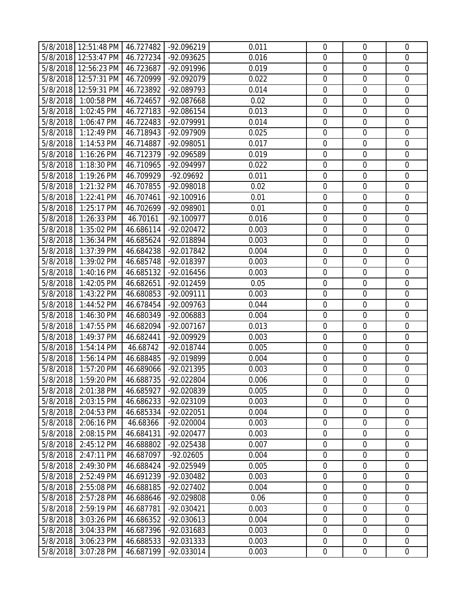|          | 5/8/2018 12:51:48 PM 46.727482 |           | -92.096219   | 0.011 | $\mathbf 0$      | $\mathbf 0$      | $\overline{0}$   |
|----------|--------------------------------|-----------|--------------|-------|------------------|------------------|------------------|
|          | 5/8/2018 12:53:47 PM           | 46.727234 | -92.093625   | 0.016 | $\mathbf 0$      | $\mathbf 0$      | $\mathbf 0$      |
|          | 5/8/2018 12:56:23 PM           | 46.723687 | -92.091996   | 0.019 | $\boldsymbol{0}$ | $\mathbf 0$      | $\mathbf 0$      |
|          | 5/8/2018 12:57:31 PM           | 46.720999 | -92.092079   | 0.022 | $\mathbf 0$      | $\mathbf 0$      | $\boldsymbol{0}$ |
|          | 5/8/2018 12:59:31 PM           | 46.723892 | -92.089793   | 0.014 | 0                | $\mathbf 0$      | $\mathbf 0$      |
| 5/8/2018 | 1:00:58 PM                     | 46.724657 | -92.087668   | 0.02  | $\mathbf 0$      | $\mathbf 0$      | $\mathbf 0$      |
| 5/8/2018 | 1:02:45 PM                     | 46.727183 | -92.086154   | 0.013 | $\mathbf 0$      | $\mathbf 0$      | $\mathbf 0$      |
| 5/8/2018 | 1:06:47 PM                     | 46.722483 | -92.079991   | 0.014 | $\boldsymbol{0}$ | $\mathbf 0$      | $\mathbf 0$      |
| 5/8/2018 | 1:12:49 PM                     | 46.718943 | -92.097909   | 0.025 | $\boldsymbol{0}$ | $\mathbf 0$      | $\mathbf 0$      |
| 5/8/2018 | 1:14:53 PM                     | 46.714887 | -92.098051   | 0.017 | $\boldsymbol{0}$ | $\mathbf 0$      | $\boldsymbol{0}$ |
| 5/8/2018 | 1:16:26 PM                     | 46.712379 | -92.096589   | 0.019 | 0                | $\mathbf 0$      | $\mathbf 0$      |
| 5/8/2018 | 1:18:30 PM                     | 46.710965 | -92.094997   | 0.022 | $\boldsymbol{0}$ | $\mathbf 0$      | $\boldsymbol{0}$ |
| 5/8/2018 | 1:19:26 PM                     | 46.709929 | -92.09692    | 0.011 | $\mathbf 0$      | $\mathbf 0$      | $\boldsymbol{0}$ |
| 5/8/2018 | 1:21:32 PM                     | 46.707855 | -92.098018   | 0.02  | $\mathbf 0$      | $\mathbf 0$      | $\mathbf 0$      |
| 5/8/2018 | 1:22:41 PM                     | 46.707461 | $-92.100916$ | 0.01  | $\boldsymbol{0}$ | $\mathbf 0$      | $\mathbf 0$      |
| 5/8/2018 | 1:25:17 PM                     | 46.702699 | -92.098901   | 0.01  | $\mathbf 0$      | $\mathbf 0$      | $\overline{0}$   |
| 5/8/2018 | 1:26:33 PM                     | 46.70161  | $-92.100977$ | 0.016 | $\mathbf 0$      | $\mathbf 0$      | $\mathbf 0$      |
| 5/8/2018 | 1:35:02 PM                     | 46.686114 | -92.020472   | 0.003 | $\mathbf 0$      | $\mathbf 0$      | $\mathbf 0$      |
| 5/8/2018 | 1:36:34 PM                     | 46.685624 | -92.018894   | 0.003 | $\mathbf 0$      | $\mathbf 0$      | $\mathbf 0$      |
| 5/8/2018 | 1:37:39 PM                     | 46.684238 | -92.017842   | 0.004 | $\mathbf 0$      | $\mathbf 0$      | $\mathbf 0$      |
| 5/8/2018 | 1:39:02 PM                     | 46.685748 | -92.018397   | 0.003 | $\boldsymbol{0}$ | $\mathbf 0$      | $\boldsymbol{0}$ |
| 5/8/2018 | 1:40:16 PM                     | 46.685132 | -92.016456   | 0.003 | $\mathbf 0$      | $\mathbf 0$      | $\mathbf 0$      |
| 5/8/2018 | 1:42:05 PM                     | 46.682651 | -92.012459   | 0.05  | $\mathbf 0$      | $\mathbf 0$      | $\mathbf 0$      |
| 5/8/2018 | 1:43:22 PM                     | 46.680853 | $-92.009111$ | 0.003 | $\mathbf 0$      | $\mathbf 0$      | $\mathbf 0$      |
| 5/8/2018 | 1:44:52 PM                     | 46.678454 | -92.009763   | 0.044 | $\mathbf 0$      | $\mathbf 0$      | $\mathbf 0$      |
| 5/8/2018 | 1:46:30 PM                     | 46.680349 | -92.006883   | 0.004 | $\boldsymbol{0}$ | $\mathbf 0$      | $\mathbf 0$      |
| 5/8/2018 | 1:47:55 PM                     | 46.682094 | -92.007167   | 0.013 | $\boldsymbol{0}$ | $\mathbf 0$      | $\boldsymbol{0}$ |
| 5/8/2018 | 1:49:37 PM                     | 46.682441 | -92.009929   | 0.003 | $\mathbf 0$      | $\mathbf 0$      | $\mathbf 0$      |
|          |                                |           |              |       | $\mathbf 0$      | $\mathbf 0$      | $\mathbf 0$      |
| 5/8/2018 | 1:54:14 PM                     | 46.68742  | -92.018744   | 0.005 |                  |                  |                  |
| 5/8/2018 | 1:56:14 PM                     | 46.688485 | -92.019899   | 0.004 | $\boldsymbol{0}$ | $\mathbf 0$      | $\mathbf 0$      |
| 5/8/2018 | 1:57:20 PM                     | 46.689066 | -92.021395   | 0.003 | $\mathbf 0$      | $\mathbf 0$      | $\mathbf 0$      |
|          | 5/8/2018 1:59:20 PM            | 46.688735 | -92.022804   | 0.006 | 0                | $\mathbf 0$      | $\overline{0}$   |
| 5/8/2018 | 2:01:38 PM                     | 46.685927 | -92.020839   | 0.005 | $\mathbf 0$      | $\mathbf 0$      | $\mathbf 0$      |
| 5/8/2018 | 2:03:15 PM                     | 46.686233 | -92.023109   | 0.003 | $\mathbf 0$      | $\mathbf 0$      | $\mathbf 0$      |
| 5/8/2018 | 2:04:53 PM                     | 46.685334 | -92.022051   | 0.004 | $\boldsymbol{0}$ | $\boldsymbol{0}$ | $\boldsymbol{0}$ |
| 5/8/2018 | 2:06:16 PM                     | 46.68366  | $-92.020004$ | 0.003 | $\mathbf 0$      | $\mathbf 0$      | $\mathbf 0$      |
| 5/8/2018 | 2:08:15 PM                     | 46.684131 | $-92.020477$ | 0.003 | $\mathbf 0$      | $\mathbf 0$      | $\overline{0}$   |
| 5/8/2018 | 2:45:12 PM                     | 46.688802 | -92.025438   | 0.007 | $\boldsymbol{0}$ | $\boldsymbol{0}$ | $\boldsymbol{0}$ |
| 5/8/2018 | 2:47:11 PM                     | 46.687097 | $-92.02605$  | 0.004 | $\mathbf 0$      | $\mathbf 0$      | $\overline{0}$   |
| 5/8/2018 | 2:49:30 PM                     | 46.688424 | -92.025949   | 0.005 | $\mathbf 0$      | $\mathbf 0$      | $\overline{0}$   |
| 5/8/2018 | 2:52:49 PM                     | 46.691239 | -92.030482   | 0.003 | $\boldsymbol{0}$ | $\boldsymbol{0}$ | $\boldsymbol{0}$ |
| 5/8/2018 | 2:55:08 PM                     | 46.688185 | $-92.027402$ | 0.004 | $\boldsymbol{0}$ | $\mathbf 0$      | 0                |
| 5/8/2018 | 2:57:28 PM                     | 46.688646 | -92.029808   | 0.06  | $\boldsymbol{0}$ | $\mathbf 0$      | $\mathbf 0$      |
| 5/8/2018 | 2:59:19 PM                     | 46.687781 | -92.030421   | 0.003 | $\boldsymbol{0}$ | $\mathbf 0$      | $\mathbf 0$      |
| 5/8/2018 | 3:03:26 PM                     | 46.686352 | $-92.030613$ | 0.004 | $\boldsymbol{0}$ | $\boldsymbol{0}$ | $\boldsymbol{0}$ |
| 5/8/2018 | 3:04:33 PM                     | 46.687396 | -92.031683   | 0.003 | $\boldsymbol{0}$ | $\mathbf 0$      | $\overline{0}$   |
| 5/8/2018 | 3:06:23 PM                     | 46.688533 | -92.031333   | 0.003 | $\boldsymbol{0}$ | $\boldsymbol{0}$ | $\boldsymbol{0}$ |
| 5/8/2018 | 3:07:28 PM                     | 46.687199 | -92.033014   | 0.003 | $\boldsymbol{0}$ | $\boldsymbol{0}$ | $\overline{0}$   |
|          |                                |           |              |       |                  |                  |                  |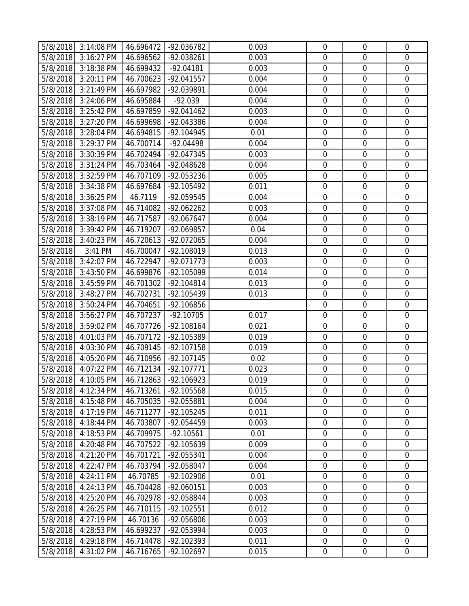|          | 5/8/2018 3:14:08 PM | 46.696472 | -92.036782   | 0.003 | $\mathbf 0$      | $\mathbf 0$      | $\mathbf 0$      |
|----------|---------------------|-----------|--------------|-------|------------------|------------------|------------------|
| 5/8/2018 | 3:16:27 PM          | 46.696562 | -92.038261   | 0.003 | $\mathbf 0$      | $\mathbf 0$      | $\overline{0}$   |
| 5/8/2018 | 3:18:38 PM          | 46.699432 | $-92.04181$  | 0.003 | $\boldsymbol{0}$ | $\mathbf 0$      | $\boldsymbol{0}$ |
| 5/8/2018 | 3:20:11 PM          | 46.700623 | $-92.041557$ | 0.004 | $\boldsymbol{0}$ | $\boldsymbol{0}$ | $\mathbf 0$      |
| 5/8/2018 | 3:21:49 PM          | 46.697982 | -92.039891   | 0.004 | $\mathbf 0$      | $\mathbf 0$      | $\mathbf 0$      |
| 5/8/2018 | 3:24:06 PM          | 46.695884 | $-92.039$    | 0.004 | $\boldsymbol{0}$ | $\mathbf 0$      | $\boldsymbol{0}$ |
| 5/8/2018 | 3:25:42 PM          | 46.697859 | $-92.041462$ | 0.003 | $\mathbf 0$      | $\mathbf 0$      | $\mathbf 0$      |
| 5/8/2018 | 3:27:20 PM          | 46.699698 | -92.043386   | 0.004 | $\mathbf 0$      | $\mathbf 0$      | $\mathbf 0$      |
| 5/8/2018 | 3:28:04 PM          | 46.694815 | -92.104945   | 0.01  | $\boldsymbol{0}$ | $\boldsymbol{0}$ | $\boldsymbol{0}$ |
| 5/8/2018 | 3:29:37 PM          | 46.700714 | $-92.04498$  | 0.004 | $\boldsymbol{0}$ | $\boldsymbol{0}$ | $\mathbf 0$      |
| 5/8/2018 | 3:30:39 PM          | 46.702494 | -92.047345   | 0.003 | $\mathbf 0$      | $\mathbf 0$      | $\mathbf 0$      |
| 5/8/2018 | 3:31:24 PM          | 46.703464 | -92.048628   | 0.004 | $\boldsymbol{0}$ | $\boldsymbol{0}$ | $\mathbf 0$      |
| 5/8/2018 | 3:32:59 PM          | 46.707109 | -92.053236   | 0.005 | $\mathbf 0$      | $\mathbf 0$      | $\mathbf 0$      |
| 5/8/2018 | 3:34:38 PM          | 46.697684 | -92.105492   | 0.011 | $\mathbf 0$      | $\mathbf 0$      | $\mathbf 0$      |
| 5/8/2018 | 3:36:25 PM          | 46.7119   | -92.059545   | 0.004 | $\boldsymbol{0}$ | $\boldsymbol{0}$ | $\mathbf 0$      |
| 5/8/2018 | 3:37:08 PM          | 46.714082 | $-92.062262$ | 0.003 | $\mathbf 0$      | $\boldsymbol{0}$ | $\mathbf 0$      |
| 5/8/2018 | 3:38:19 PM          | 46.717587 | $-92.067647$ | 0.004 | $\mathbf 0$      | $\mathbf 0$      | $\mathbf 0$      |
| 5/8/2018 | 3:39:42 PM          | 46.719207 | -92.069857   | 0.04  | $\mathbf 0$      | $\boldsymbol{0}$ | $\mathbf 0$      |
| 5/8/2018 | 3:40:23 PM          | 46.720613 | -92.072065   | 0.004 | $\mathbf 0$      | $\mathbf 0$      | $\mathbf 0$      |
| 5/8/2018 | 3:41 PM             | 46.700047 | -92.108019   | 0.013 | $\mathbf 0$      | $\mathbf 0$      | $\mathbf 0$      |
| 5/8/2018 | 3:42:07 PM          | 46.722947 | $-92.071773$ | 0.003 | $\boldsymbol{0}$ | $\mathbf 0$      | $\mathbf 0$      |
| 5/8/2018 | 3:43:50 PM          | 46.699876 | -92.105099   | 0.014 | $\mathbf 0$      | $\boldsymbol{0}$ | $\mathbf 0$      |
| 5/8/2018 | 3:45:59 PM          | 46.701302 | $-92.104814$ | 0.013 | $\mathbf 0$      | $\mathbf 0$      | $\mathbf 0$      |
| 5/8/2018 | 3:48:27 PM          | 46.702731 | $-92.105439$ | 0.013 | $\mathbf 0$      | $\mathbf 0$      | $\mathbf 0$      |
| 5/8/2018 | 3:50:24 PM          | 46.704651 | -92.106856   |       | $\mathbf 0$      | $\boldsymbol{0}$ | $\mathbf 0$      |
| 5/8/2018 | 3:56:27 PM          | 46.707237 | $-92.10705$  | 0.017 | $\mathbf 0$      | $\mathbf 0$      | $\mathbf 0$      |
| 5/8/2018 | 3:59:02 PM          | 46.707726 | $-92.108164$ | 0.021 | $\boldsymbol{0}$ | $\boldsymbol{0}$ | $\mathbf 0$      |
| 5/8/2018 | 4:01:03 PM          | 46.707172 | -92.105389   | 0.019 | $\mathbf 0$      | $\boldsymbol{0}$ | $\mathbf 0$      |
| 5/8/2018 | 4:03:30 PM          | 46.709145 | $-92.107158$ | 0.019 | $\mathbf 0$      | $\mathbf 0$      | $\mathbf 0$      |
| 5/8/2018 | 4:05:20 PM          | 46.710956 | $-92.107145$ | 0.02  | $\mathbf 0$      | $\boldsymbol{0}$ | $\boldsymbol{0}$ |
| 5/8/2018 | 4:07:22 PM          | 46.712134 | $-92.107771$ | 0.023 | $\mathbf 0$      | $\boldsymbol{0}$ | $\mathbf 0$      |
|          | 5/8/2018 4:10:05 PM | 46.712863 | $-92.106923$ | 0.019 | $\mathbf 0$      | $\mathbf 0$      | $\mathbf 0$      |
| 5/8/2018 | 4:12:34 PM          | 46.713261 | -92.105568   | 0.015 | $\mathbf 0$      | $\mathbf 0$      | $\mathbf 0$      |
| 5/8/2018 | 4:15:48 PM          | 46.705035 | -92.055881   | 0.004 | $\mathbf 0$      | $\mathbf 0$      | $\overline{0}$   |
| 5/8/2018 | 4:17:19 PM          | 46.711277 | $-92.105245$ | 0.011 | $\boldsymbol{0}$ | $\mathbf 0$      | $\mathbf 0$      |
| 5/8/2018 | 4:18:44 PM          | 46.703807 | -92.054459   | 0.003 | $\boldsymbol{0}$ | $\mathbf 0$      | $\mathbf 0$      |
| 5/8/2018 | 4:18:53 PM          | 46.709975 | $-92.10561$  | 0.01  | $\mathbf 0$      | $\mathbf 0$      | $\mathbf 0$      |
| 5/8/2018 | 4:20:48 PM          | 46.707522 | -92.105639   | 0.009 | $\mathbf 0$      | $\mathbf 0$      | $\mathbf 0$      |
| 5/8/2018 | 4:21:20 PM          | 46.701721 | -92.055341   | 0.004 | $\boldsymbol{0}$ | $\mathbf 0$      | $\mathbf 0$      |
| 5/8/2018 | 4:22:47 PM          | 46.703794 | -92.058047   | 0.004 | $\mathbf 0$      | $\mathbf 0$      | $\overline{0}$   |
| 5/8/2018 | 4:24:11 PM          | 46.70785  | $-92.102906$ | 0.01  | $\boldsymbol{0}$ | $\mathbf 0$      | $\mathbf 0$      |
| 5/8/2018 | 4:24:13 PM          | 46.704428 | $-92.060151$ | 0.003 | $\boldsymbol{0}$ | $\boldsymbol{0}$ | $\mathbf 0$      |
| 5/8/2018 | 4:25:20 PM          | 46.702978 | -92.058844   | 0.003 | $\mathbf 0$      | $\mathbf 0$      | $\overline{0}$   |
| 5/8/2018 | 4:26:25 PM          | 46.710115 | $-92.102551$ | 0.012 | $\boldsymbol{0}$ | $\boldsymbol{0}$ | $\mathbf 0$      |
| 5/8/2018 | 4:27:19 PM          | 46.70136  | -92.056806   | 0.003 | $\boldsymbol{0}$ | $\boldsymbol{0}$ | $\mathbf 0$      |
| 5/8/2018 | 4:28:53 PM          | 46.699237 | -92.053994   | 0.003 | $\mathbf 0$      | $\mathbf 0$      | $\overline{0}$   |
| 5/8/2018 | 4:29:18 PM          | 46.714478 | $-92.102393$ | 0.011 | $\boldsymbol{0}$ | $\boldsymbol{0}$ | $\overline{0}$   |
| 5/8/2018 | 4:31:02 PM          | 46.716765 | $-92.102697$ | 0.015 | $\pmb{0}$        | $\pmb{0}$        | $\overline{0}$   |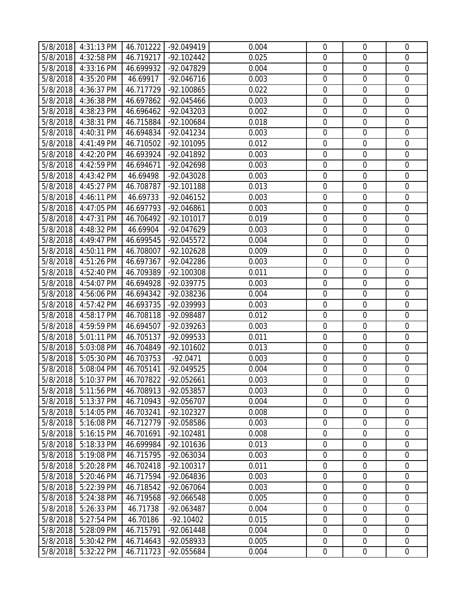|          | $5/8/2018$ 4:31:13 PM    | 46.701222 | -92.049419   | 0.004 | $\mathbf 0$      | $\mathbf 0$      | $\overline{0}$   |
|----------|--------------------------|-----------|--------------|-------|------------------|------------------|------------------|
| 5/8/2018 | 4:32:58 PM               | 46.719217 | $-92.102442$ | 0.025 | $\mathbf 0$      | $\mathbf 0$      | $\overline{0}$   |
| 5/8/2018 | 4:33:16 PM               | 46.699932 | -92.047829   | 0.004 | $\boldsymbol{0}$ | $\mathbf 0$      | $\boldsymbol{0}$ |
| 5/8/2018 | 4:35:20 PM               | 46.69917  | $-92.046716$ | 0.003 | $\mathbf 0$      | $\mathbf 0$      | $\boldsymbol{0}$ |
| 5/8/2018 | 4:36:37 PM               | 46.717729 | -92.100865   | 0.022 | $\boldsymbol{0}$ | $\mathbf 0$      | $\mathbf 0$      |
| 5/8/2018 | 4:36:38 PM               | 46.697862 | -92.045466   | 0.003 | $\boldsymbol{0}$ | $\mathbf 0$      | $\boldsymbol{0}$ |
| 5/8/2018 | 4:38:23 PM               | 46.696462 | -92.043203   | 0.002 | $\mathbf 0$      | $\mathbf 0$      | $\boldsymbol{0}$ |
| 5/8/2018 | 4:38:31 PM               | 46.715884 | -92.100684   | 0.018 | $\boldsymbol{0}$ | $\mathbf 0$      | $\mathbf 0$      |
| 5/8/2018 | 4:40:31 PM               | 46.694834 | $-92.041234$ | 0.003 | $\boldsymbol{0}$ | $\mathbf 0$      | $\boldsymbol{0}$ |
| 5/8/2018 | 4:41:49 PM               | 46.710502 | -92.101095   | 0.012 | $\boldsymbol{0}$ | $\mathbf 0$      | $\boldsymbol{0}$ |
| 5/8/2018 | 4:42:20 PM               | 46.693924 | -92.041892   | 0.003 | 0                | $\mathbf 0$      | $\mathbf 0$      |
| 5/8/2018 | 4:42:59 PM               | 46.694671 | -92.042698   | 0.003 | $\boldsymbol{0}$ | $\mathbf 0$      | $\boldsymbol{0}$ |
| 5/8/2018 | 4:43:42 PM               | 46.69498  | -92.043028   | 0.003 | $\mathbf 0$      | $\boldsymbol{0}$ | $\boldsymbol{0}$ |
| 5/8/2018 | 4:45:27 PM               | 46.708787 | -92.101188   | 0.013 | $\mathbf 0$      | $\mathbf 0$      | $\mathbf 0$      |
| 5/8/2018 | 4:46:11 PM               | 46.69733  | $-92.046152$ | 0.003 | $\boldsymbol{0}$ | $\mathbf 0$      | $\mathbf 0$      |
| 5/8/2018 | 4:47:05 PM               | 46.697793 | -92.046861   | 0.003 | $\mathbf 0$      | $\mathbf 0$      | $\boldsymbol{0}$ |
| 5/8/2018 | 4:47:31 PM               | 46.706492 | $-92.101017$ | 0.019 | $\mathbf 0$      | $\mathbf 0$      | $\mathbf 0$      |
| 5/8/2018 | 4:48:32 PM               | 46.69904  | -92.047629   | 0.003 | $\mathbf 0$      | $\mathbf 0$      | $\mathbf 0$      |
| 5/8/2018 | 4:49:47 PM               | 46.699545 | $-92.045572$ | 0.004 | $\mathbf 0$      | $\mathbf 0$      | $\mathbf 0$      |
| 5/8/2018 | 4:50:11 PM               | 46.708007 | $-92.102628$ | 0.009 | $\mathbf 0$      | $\mathbf 0$      | $\mathbf 0$      |
| 5/8/2018 | 4:51:26 PM               | 46.697367 | -92.042286   | 0.003 | $\boldsymbol{0}$ | $\boldsymbol{0}$ | $\boldsymbol{0}$ |
| 5/8/2018 | 4:52:40 PM               | 46.709389 | -92.100308   | 0.011 | $\mathbf 0$      | $\mathbf 0$      | $\mathbf 0$      |
| 5/8/2018 | 4:54:07 PM               | 46.694928 | -92.039775   | 0.003 | 0                | $\mathbf 0$      | $\mathbf 0$      |
| 5/8/2018 | 4:56:06 PM               | 46.694342 | -92.038236   | 0.004 | $\boldsymbol{0}$ | $\mathbf 0$      | $\boldsymbol{0}$ |
| 5/8/2018 | 4:57:42 PM               | 46.693735 | -92.039993   | 0.003 | $\mathbf 0$      | $\mathbf 0$      | $\mathbf 0$      |
| 5/8/2018 | 4:58:17 PM               | 46.708118 | -92.098487   | 0.012 | $\boldsymbol{0}$ | $\mathbf 0$      | $\mathbf 0$      |
| 5/8/2018 | 4:59:59 PM               | 46.694507 | -92.039263   | 0.003 | $\boldsymbol{0}$ | $\mathbf 0$      | $\boldsymbol{0}$ |
| 5/8/2018 | $5:01:11$ PM             | 46.705137 | -92.099533   | 0.011 | $\mathbf 0$      | $\mathbf 0$      | $\mathbf 0$      |
| 5/8/2018 | 5:03:08 PM               | 46.704849 | $-92.101602$ | 0.013 | $\mathbf 0$      | $\mathbf 0$      | $\mathbf 0$      |
| 5/8/2018 | 5:05:30 PM               | 46.703753 | $-92.0471$   | 0.003 | $\boldsymbol{0}$ | $\mathbf 0$      | $\mathbf 0$      |
| 5/8/2018 | 5:08:04 PM               | 46.705141 | -92.049525   | 0.004 | $\mathbf 0$      | $\mathbf 0$      | $\mathbf 0$      |
|          | 5/8/2018 5:10:37 PM      | 46.707822 | $-92.052661$ | 0.003 | 0                | $\mathbf 0$      | $\overline{0}$   |
| 5/8/2018 | 5:11:56 PM               | 46.708913 | -92.053857   | 0.003 | $\mathbf 0$      | $\mathbf 0$      | $\mathbf 0$      |
| 5/8/2018 | 5:13:37 PM               | 46.710943 | -92.056707   | 0.004 | $\mathbf 0$      | $\mathbf 0$      | $\mathbf 0$      |
| 5/8/2018 | 5:14:05 PM               | 46.703241 | -92.102327   | 0.008 | $\boldsymbol{0}$ | $\boldsymbol{0}$ | $\boldsymbol{0}$ |
| 5/8/2018 | 5:16:08 PM               | 46.712779 | -92.058586   | 0.003 | $\mathbf 0$      | $\mathbf 0$      | $\mathbf 0$      |
| 5/8/2018 | 5:16:15 PM               | 46.701691 | -92.102481   | 0.008 | $\mathbf 0$      | $\mathbf 0$      | $\overline{0}$   |
| 5/8/2018 | 5:18:33 PM               | 46.699984 | -92.101636   | 0.013 | $\boldsymbol{0}$ | $\boldsymbol{0}$ | $\boldsymbol{0}$ |
| 5/8/2018 | 5:19:08 PM               | 46.715795 | -92.063034   | 0.003 | $\boldsymbol{0}$ | $\mathbf 0$      | $\mathbf 0$      |
| 5/8/2018 | 5:20:28 PM               | 46.702418 | $-92.100317$ | 0.011 | $\mathbf 0$      | $\mathbf 0$      | $\overline{0}$   |
| 5/8/2018 | 5:20:46 PM               | 46.717594 | -92.064836   | 0.003 | $\boldsymbol{0}$ | $\boldsymbol{0}$ | $\boldsymbol{0}$ |
| 5/8/2018 | 5:22:39 PM               | 46.718542 | -92.067064   | 0.003 | $\boldsymbol{0}$ | $\mathbf 0$      | 0                |
| 5/8/2018 | 5:24:38 PM               | 46.719568 | -92.066548   | 0.005 | $\boldsymbol{0}$ | $\mathbf 0$      | $\mathbf 0$      |
| 5/8/2018 | $\overline{5}$ :26:33 PM | 46.71738  | -92.063487   | 0.004 | $\boldsymbol{0}$ | $\mathbf 0$      | $\mathbf 0$      |
| 5/8/2018 | 5:27:54 PM               | 46.70186  | $-92.10402$  | 0.015 | $\boldsymbol{0}$ | $\boldsymbol{0}$ | $\boldsymbol{0}$ |
| 5/8/2018 | 5:28:09 PM               | 46.715791 | $-92.061448$ | 0.004 | $\boldsymbol{0}$ | $\mathbf 0$      | $\overline{0}$   |
| 5/8/2018 | 5:30:42 PM               | 46.714643 | -92.058933   | 0.005 | $\boldsymbol{0}$ | $\boldsymbol{0}$ | $\boldsymbol{0}$ |
| 5/8/2018 | 5:32:22 PM               | 46.711723 | -92.055684   | 0.004 | $\boldsymbol{0}$ | $\boldsymbol{0}$ | $\overline{0}$   |
|          |                          |           |              |       |                  |                  |                  |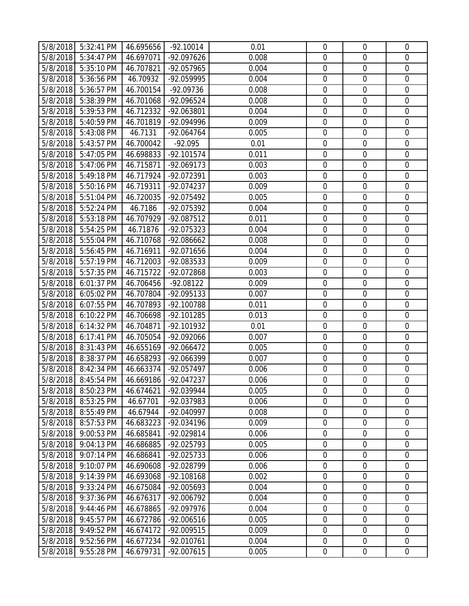|          | 5/8/2018 5:32:41 PM | 46.695656 | $-92.10014$  | 0.01  | $\mathbf 0$      | $\mathbf 0$      | $\overline{0}$   |
|----------|---------------------|-----------|--------------|-------|------------------|------------------|------------------|
| 5/8/2018 | 5:34:47 PM          | 46.697071 | -92.097626   | 0.008 | $\mathbf 0$      | $\mathbf 0$      | $\mathbf 0$      |
| 5/8/2018 | 5:35:10 PM          | 46.707821 | -92.057965   | 0.004 | $\boldsymbol{0}$ | $\mathbf 0$      | $\mathbf 0$      |
| 5/8/2018 | 5:36:56 PM          | 46.70932  | -92.059995   | 0.004 | $\mathbf 0$      | $\mathbf 0$      | $\boldsymbol{0}$ |
| 5/8/2018 | 5:36:57 PM          | 46.700154 | $-92.09736$  | 0.008 | 0                | $\mathbf 0$      | $\mathbf 0$      |
| 5/8/2018 | 5:38:39 PM          | 46.701068 | -92.096524   | 0.008 | $\mathbf 0$      | $\mathbf 0$      | $\boldsymbol{0}$ |
| 5/8/2018 | 5:39:53 PM          | 46.712332 | -92.063801   | 0.004 | $\mathbf 0$      | $\mathbf 0$      | $\mathbf 0$      |
| 5/8/2018 | 5:40:59 PM          | 46.701819 | -92.094996   | 0.009 | $\boldsymbol{0}$ | $\mathbf 0$      | $\mathbf 0$      |
| 5/8/2018 | 5:43:08 PM          | 46.7131   | $-92.064764$ | 0.005 | $\boldsymbol{0}$ | $\mathbf 0$      | $\mathbf 0$      |
| 5/8/2018 | 5:43:57 PM          | 46.700042 | $-92.095$    | 0.01  | $\boldsymbol{0}$ | $\mathbf 0$      | $\boldsymbol{0}$ |
| 5/8/2018 | 5:47:05 PM          | 46.698833 | $-92.101574$ | 0.011 | 0                | $\mathbf 0$      | $\mathbf 0$      |
| 5/8/2018 | 5:47:06 PM          | 46.715871 | $-92.069173$ | 0.003 | 0                | $\mathbf 0$      | $\boldsymbol{0}$ |
| 5/8/2018 | 5:49:18 PM          | 46.717924 | -92.072391   | 0.003 | $\mathbf 0$      | $\mathbf 0$      | $\boldsymbol{0}$ |
| 5/8/2018 | 5:50:16 PM          | 46.719311 | -92.074237   | 0.009 | $\mathbf 0$      | $\mathbf 0$      | $\mathbf 0$      |
| 5/8/2018 | 5:51:04 PM          | 46.720035 | -92.075492   | 0.005 | $\boldsymbol{0}$ | $\mathbf 0$      | $\mathbf 0$      |
| 5/8/2018 | 5:52:24 PM          | 46.7186   | -92.075392   | 0.004 | $\mathbf 0$      | $\mathbf 0$      | $\overline{0}$   |
| 5/8/2018 | 5:53:18 PM          | 46.707929 | $-92.087512$ | 0.011 | $\mathbf 0$      | $\mathbf 0$      | $\mathbf 0$      |
| 5/8/2018 | $5:54:25$ PM        | 46.71876  | -92.075323   | 0.004 | $\mathbf 0$      | $\mathbf 0$      | $\mathbf 0$      |
| 5/8/2018 | 5:55:04 PM          | 46.710768 | -92.086662   | 0.008 | $\mathbf 0$      | $\mathbf 0$      | $\mathbf 0$      |
| 5/8/2018 | 5:56:45 PM          | 46.716911 | -92.071656   | 0.004 | $\mathbf 0$      | $\mathbf 0$      | $\mathbf 0$      |
| 5/8/2018 | 5:57:19 PM          | 46.712003 | -92.083533   | 0.009 | $\boldsymbol{0}$ | $\mathbf 0$      | $\mathbf 0$      |
| 5/8/2018 | 5:57:35 PM          | 46.715722 | -92.072868   | 0.003 | $\mathbf 0$      | $\mathbf 0$      | $\mathbf 0$      |
| 5/8/2018 | 6:01:37 PM          | 46.706456 | $-92.08122$  | 0.009 | 0                | $\mathbf 0$      | $\mathbf 0$      |
| 5/8/2018 | 6:05:02 PM          | 46.707804 | -92.095133   | 0.007 | $\boldsymbol{0}$ | $\mathbf 0$      | $\mathbf 0$      |
| 5/8/2018 | 6:07:55 PM          | 46.707893 | -92.100788   | 0.011 | $\mathbf 0$      | $\mathbf 0$      | $\mathbf 0$      |
| 5/8/2018 | 6:10:22 PM          | 46.706698 | -92.101285   | 0.013 | $\boldsymbol{0}$ | $\mathbf 0$      | $\mathbf 0$      |
| 5/8/2018 | 6:14:32 PM          | 46.704871 | -92.101932   | 0.01  | $\boldsymbol{0}$ | $\mathbf 0$      | $\boldsymbol{0}$ |
| 5/8/2018 | 6:17:41 PM          | 46.705054 | -92.092066   | 0.007 | $\mathbf 0$      | $\mathbf 0$      | $\mathbf 0$      |
| 5/8/2018 | 8:31:43 PM          | 46.655169 | $-92.066472$ | 0.005 | $\mathbf 0$      | $\mathbf 0$      | $\mathbf 0$      |
| 5/8/2018 | 8:38:37 PM          | 46.658293 | -92.066399   | 0.007 | $\boldsymbol{0}$ | $\mathbf 0$      | $\mathbf 0$      |
| 5/8/2018 | 8:42:34 PM          | 46.663374 | $-92.057497$ | 0.006 | $\mathbf 0$      | $\mathbf 0$      | $\mathbf 0$      |
| 5/8/2018 | 8:45:54 PM          | 46.669186 | $-92.047237$ | 0.006 | 0                | $\mathbf 0$      | $\overline{0}$   |
| 5/8/2018 | 8:50:23 PM          | 46.674621 | -92.039944   | 0.005 | $\mathbf 0$      | $\mathbf 0$      | $\mathbf 0$      |
| 5/8/2018 | 8:53:25 PM          | 46.67701  | -92.037983   | 0.006 | $\mathbf 0$      | $\mathbf 0$      | $\mathbf 0$      |
| 5/8/2018 | 8:55:49 PM          | 46.67944  | -92.040997   | 0.008 | $\boldsymbol{0}$ | $\boldsymbol{0}$ | $\boldsymbol{0}$ |
| 5/8/2018 | 8:57:53 PM          | 46.683223 | -92.034196   | 0.009 | $\mathbf 0$      | $\mathbf 0$      | $\boldsymbol{0}$ |
| 5/8/2018 | 9:00:53 PM          | 46.685841 | -92.029814   | 0.006 | $\mathbf 0$      | $\mathbf 0$      | $\overline{0}$   |
| 5/8/2018 | 9:04:13 PM          | 46.686885 | -92.025793   | 0.005 | $\boldsymbol{0}$ | $\boldsymbol{0}$ | $\boldsymbol{0}$ |
| 5/8/2018 | 9:07:14 PM          | 46.686841 | $-92.025733$ | 0.006 | $\boldsymbol{0}$ | $\mathbf 0$      | $\mathbf 0$      |
| 5/8/2018 | 9:10:07 PM          | 46.690608 | -92.028799   | 0.006 | $\mathbf 0$      | $\mathbf 0$      | $\overline{0}$   |
| 5/8/2018 | 9:14:39 PM          | 46.693068 | -92.108168   | 0.002 | $\boldsymbol{0}$ | $\boldsymbol{0}$ | $\boldsymbol{0}$ |
| 5/8/2018 | 9:33:24 PM          | 46.675084 | -92.005693   | 0.004 | $\boldsymbol{0}$ | $\mathbf 0$      | $\boldsymbol{0}$ |
| 5/8/2018 | 9:37:36 PM          | 46.676317 | -92.006792   | 0.004 | $\boldsymbol{0}$ | $\mathbf 0$      | $\mathbf 0$      |
| 5/8/2018 | 9:44:46 PM          | 46.678865 | -92.097976   | 0.004 | $\boldsymbol{0}$ | $\boldsymbol{0}$ | $\mathbf 0$      |
| 5/8/2018 | 9:45:57 PM          | 46.672786 | $-92.006516$ | 0.005 | $\boldsymbol{0}$ | $\boldsymbol{0}$ | $\boldsymbol{0}$ |
| 5/8/2018 | 9:49:52 PM          | 46.674172 | -92.009515   | 0.009 | $\boldsymbol{0}$ | $\mathbf 0$      | $\overline{0}$   |
| 5/8/2018 | 9:52:56 PM          | 46.677234 | $-92.010761$ | 0.004 | $\boldsymbol{0}$ | $\boldsymbol{0}$ | $\boldsymbol{0}$ |
| 5/8/2018 | 9:55:28 PM          | 46.679731 | $-92.007615$ | 0.005 | $\boldsymbol{0}$ | $\boldsymbol{0}$ | $\overline{0}$   |